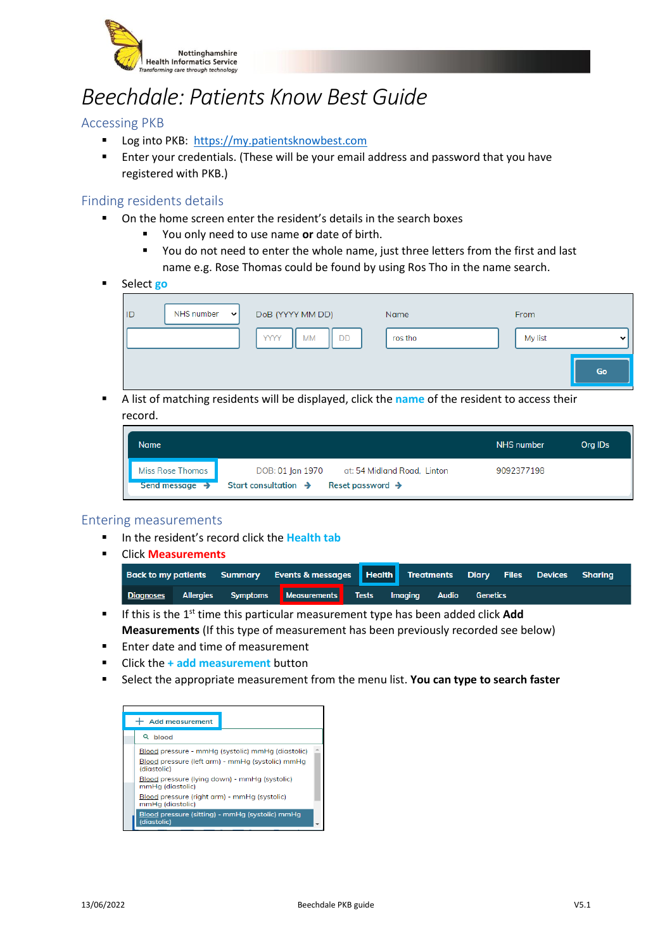

# *Beechdale: Patients Know Best Guide*

## Accessing PKB

- Log into PKB: [https://my.patientsknowbest.com](https://my.patientsknowbest.com/)
- Enter your credentials. (These will be your email address and password that you have registered with PKB.)

#### Finding residents details

- On the home screen enter the resident's details in the search boxes
	- You only need to use name or date of birth.
	- You do not need to enter the whole name, just three letters from the first and last name e.g. Rose Thomas could be found by using Ros Tho in the name search.
- Select **go**

| ID | NHS number $\  \cdot \ $ | DoB (YYYY MM DD)               | Name    | From    |             |
|----|--------------------------|--------------------------------|---------|---------|-------------|
|    |                          | <b>YYYY</b><br><b>DD</b><br>МM | ros tho | My list | $\check{ }$ |
|    |                          |                                |         |         | Go          |

▪ A list of matching residents will be displayed, click the **name** of the resident to access their record.

| Name                                           |                                                                                                                     | NHS number | Org IDs |
|------------------------------------------------|---------------------------------------------------------------------------------------------------------------------|------------|---------|
| Miss Rose Thomas<br>Send message $\rightarrow$ | DOB: 01 Jan 1970<br>at: 54 Midland Road, Linton<br>Start consultation $\rightarrow$<br>Reset password $\rightarrow$ | 9092377198 |         |

#### Entering measurements

- In the resident's record click the **Health tab**
- Click **Measurements**

|  | Back to my patients Summary Events & messages Health Treatments Diary Files Devices Sharing |  |  |  |
|--|---------------------------------------------------------------------------------------------|--|--|--|
|  | Diagnoses Allergies Symptoms Measurements Tests Imaging Audio Genetics                      |  |  |  |

- If this is the 1<sup>st</sup> time this particular measurement type has been added click **Add Measurements** (If this type of measurement has been previously recorded see below)
- Enter date and time of measurement
- Click the **+ add measurement** button
- **EXECT:** Select the appropriate measurement from the menu list. **You can type to search faster**

| <b>Add measurement</b>                                                                                                                                                |
|-----------------------------------------------------------------------------------------------------------------------------------------------------------------------|
| Q<br>blood                                                                                                                                                            |
| Blood pressure - mmHg (systolic) mmHg (diastolic)<br>Blood pressure (left arm) - mmHa (systolic) mmHa<br>(diastolic)<br>Blood pressure (lying down) - mmHg (systolic) |
| mmHa (diastolic)                                                                                                                                                      |
| Blood pressure (right arm) - mmHg (systolic)<br>mmHq (diastolic)                                                                                                      |
| Blood pressure (sitting) - mmHg (systolic) mmHg<br>(diastolic)                                                                                                        |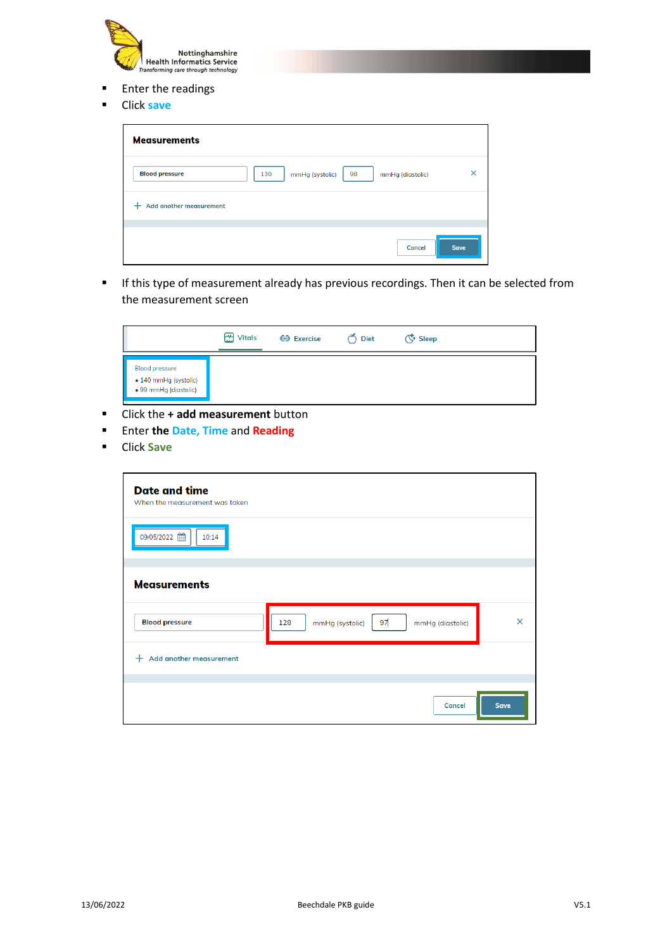

- Enter the readings
- Click **save**

| <b>Measurements</b>     |                                                  |             |
|-------------------------|--------------------------------------------------|-------------|
| <b>Blood pressure</b>   | 98<br>130<br>mmHg (systolic)<br>mmHg (diastolic) | ×           |
| Add another measurement |                                                  |             |
|                         | <b>Cancel</b>                                    | <b>Save</b> |

▪ If this type of measurement already has previous recordings. Then it can be selected from the measurement screen



- Click the **+ add measurement** button
- Enter **the Date, Time** and **Reading**
- Click **Save**

| <b>Date and time</b><br>When the measurement was taken |                                                  |             |
|--------------------------------------------------------|--------------------------------------------------|-------------|
| 09/05/2022<br>10:14                                    |                                                  |             |
|                                                        |                                                  |             |
| <b>Measurements</b>                                    |                                                  |             |
| <b>Blood pressure</b>                                  | 97<br>128<br>mmHg (systolic)<br>mmHg (diastolic) | $\times$    |
| Add another measurement<br>$\pm$                       |                                                  |             |
|                                                        |                                                  |             |
|                                                        | <b>Cancel</b>                                    | <b>Save</b> |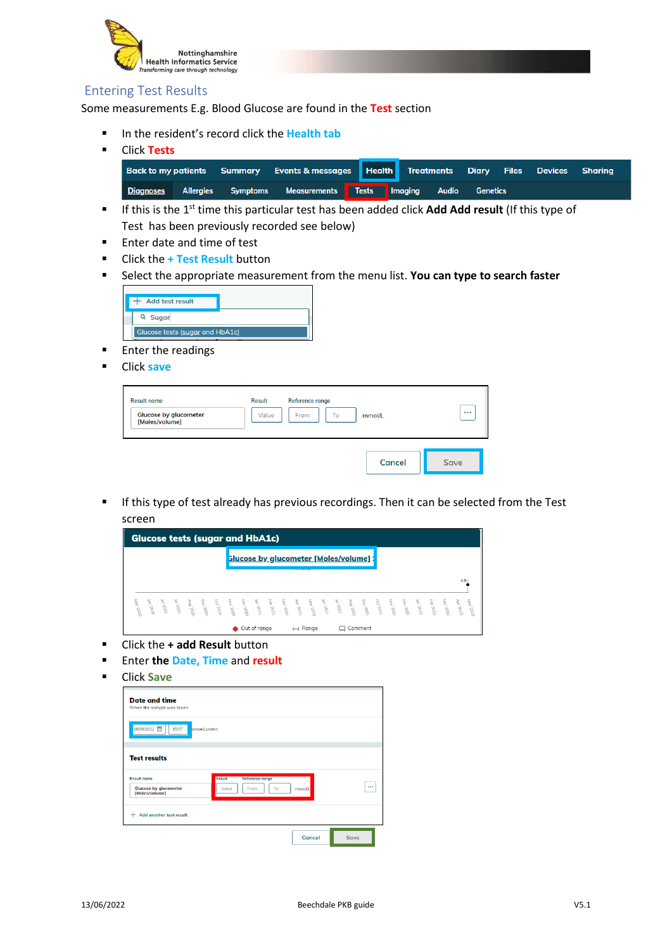

# Entering Test Results

Some measurements E.g. Blood Glucose are found in the **Test** section

- In the resident's record click the **Health tab**
- Click **Tests Back to my patients** Summary **Events & messages** Health **Treatments Diary Files Devices Sharing** Diagnoses Allergies Measurements Tests Imaging **Symptoms Audio Genetics**
- If this is the 1<sup>st</sup> time this particular test has been added click **Add Add result** (If this type of Test has been previously recorded see below)
- Enter date and time of test
- Click the **+ Test Result** button
- **EXECT:** Select the appropriate measurement from the menu list. **You can type to search faster**



- Enter the readings
- Click **save**

| <b>Result name</b><br><b>Glucose by glucometer</b><br>[Moles/volume] | <b>Result</b><br>Value | Reference range<br>To<br>From | mmol/L        | $\cdots$    |
|----------------------------------------------------------------------|------------------------|-------------------------------|---------------|-------------|
|                                                                      |                        |                               | <b>Cancel</b> | <b>Save</b> |

**■** If this type of test already has previous recordings. Then it can be selected from the Test screen



- Click the **+ add Result** button
- Enter **the Date, Time** and **result**
- Click **Save**

| <b>Date and time</b><br>When the sample was taken                    |                                                  |               |             |
|----------------------------------------------------------------------|--------------------------------------------------|---------------|-------------|
| 16/05/2022 曲<br>15:57                                                | urope/London                                     |               |             |
| <b>Test results</b>                                                  |                                                  |               |             |
| <b>Result name</b><br><b>Glucose by glucometer</b><br>[Moles/volume] | Result<br>Reference range<br>Value<br>From<br>To | mmol/L        |             |
| Add another test result<br>÷                                         |                                                  |               |             |
|                                                                      |                                                  | <b>Cancel</b> | <b>Save</b> |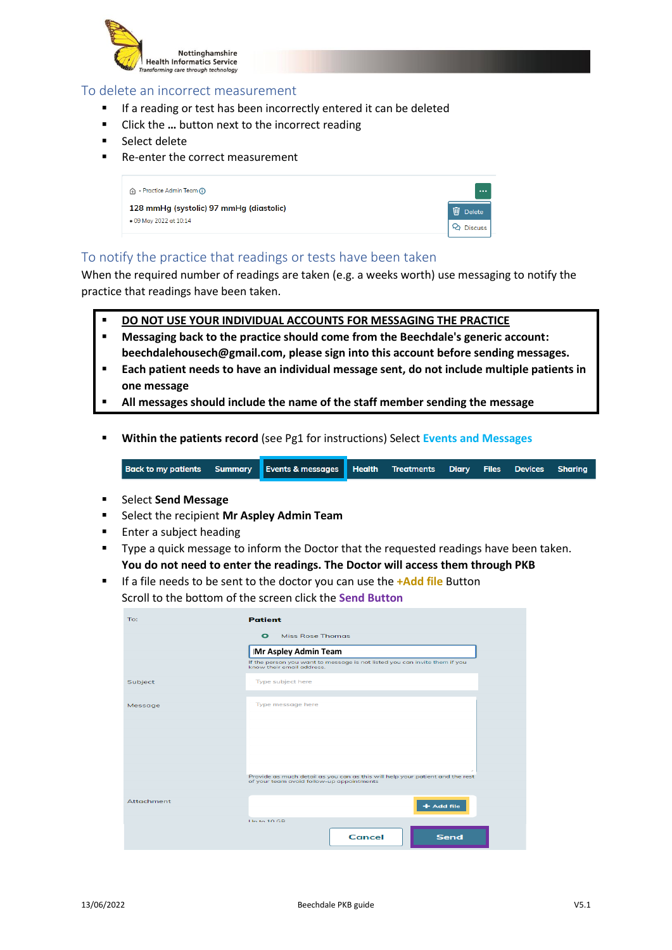

## To delete an incorrect measurement

- If a reading or test has been incorrectly entered it can be deleted
- Click the ... button next to the incorrect reading
- Select delete
- Re-enter the correct measurement

| A - Practice Admin Team (i)             | $\cdots$           |
|-----------------------------------------|--------------------|
| 128 mmHg (systolic) 97 mmHg (diastolic) | 而<br><b>Delete</b> |
| . 09 May 2022 at 10:14                  | 년 Discuss          |

## To notify the practice that readings or tests have been taken

When the required number of readings are taken (e.g. a weeks worth) use messaging to notify the practice that readings have been taken.

- **DO NOT USE YOUR INDIVIDUAL ACCOUNTS FOR MESSAGING THE PRACTICE**
- **Messaging back to the practice should come from the Beechdale's generic account: beechdalehousech@gmail.com, please sign into this account before sending messages.**
- **Each patient needs to have an individual message sent, do not include multiple patients in one message**
- **All messages should include the name of the staff member sending the message**
- **Within the patients record** (see Pg1 for instructions) Select **Events and Messages**

**Back to my patients Summary Events & messages Health Treatments Diary Files Devices Sharing** 

- Select **Send Message**
- Select the recipient **Mr Aspley Admin Team**
- Enter a subject heading
- Type a quick message to inform the Doctor that the requested readings have been taken. **You do not need to enter the readings. The Doctor will access them through PKB**
- If a file needs to be sent to the doctor you can use the **+Add file** Button Scroll to the bottom of the screen click the **Send Button**

| To:        | <b>Patient</b>                                                                                                             |  |  |
|------------|----------------------------------------------------------------------------------------------------------------------------|--|--|
|            | <b>Miss Rose Thomas</b><br>$\bullet$                                                                                       |  |  |
|            | <b>Mr Aspley Admin Team</b>                                                                                                |  |  |
|            | If the person you want to message is not listed you can invite them if you<br>know their email address.                    |  |  |
| Subject    | Type subject here                                                                                                          |  |  |
| Message    | Type message here                                                                                                          |  |  |
|            |                                                                                                                            |  |  |
|            |                                                                                                                            |  |  |
|            |                                                                                                                            |  |  |
|            | Provide as much detail as you can as this will help your patient and the rest<br>of your team avoid follow-up appointments |  |  |
| Attachment | + Add file                                                                                                                 |  |  |
|            | Up to $10$ GB                                                                                                              |  |  |
|            | <b>Cancel</b><br><b>Send</b>                                                                                               |  |  |